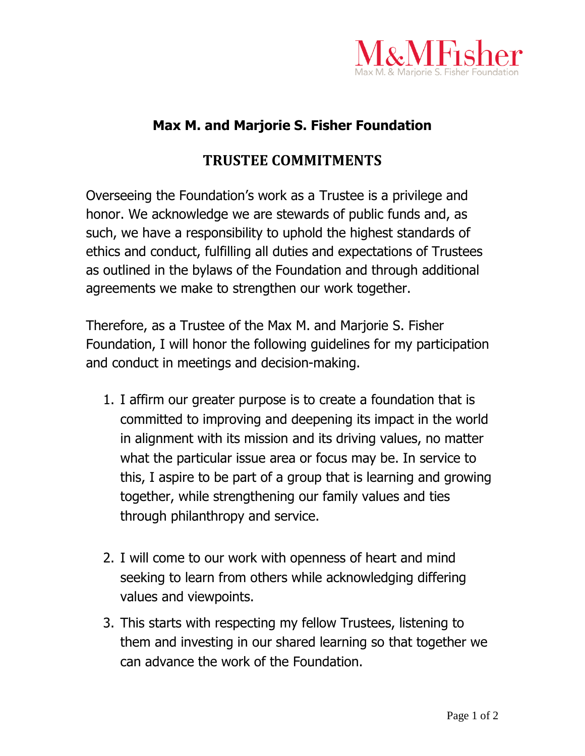

## **Max M. and Marjorie S. Fisher Foundation**

## **TRUSTEE COMMITMENTS**

Overseeing the Foundation's work as a Trustee is a privilege and honor. We acknowledge we are stewards of public funds and, as such, we have a responsibility to uphold the highest standards of ethics and conduct, fulfilling all duties and expectations of Trustees as outlined in the bylaws of the Foundation and through additional agreements we make to strengthen our work together.

Therefore, as a Trustee of the Max M. and Marjorie S. Fisher Foundation, I will honor the following guidelines for my participation and conduct in meetings and decision-making.

- 1. I affirm our greater purpose is to create a foundation that is committed to improving and deepening its impact in the world in alignment with its mission and its driving values, no matter what the particular issue area or focus may be. In service to this, I aspire to be part of a group that is learning and growing together, while strengthening our family values and ties through philanthropy and service.
- 2. I will come to our work with openness of heart and mind seeking to learn from others while acknowledging differing values and viewpoints.
- 3. This starts with respecting my fellow Trustees, listening to them and investing in our shared learning so that together we can advance the work of the Foundation.